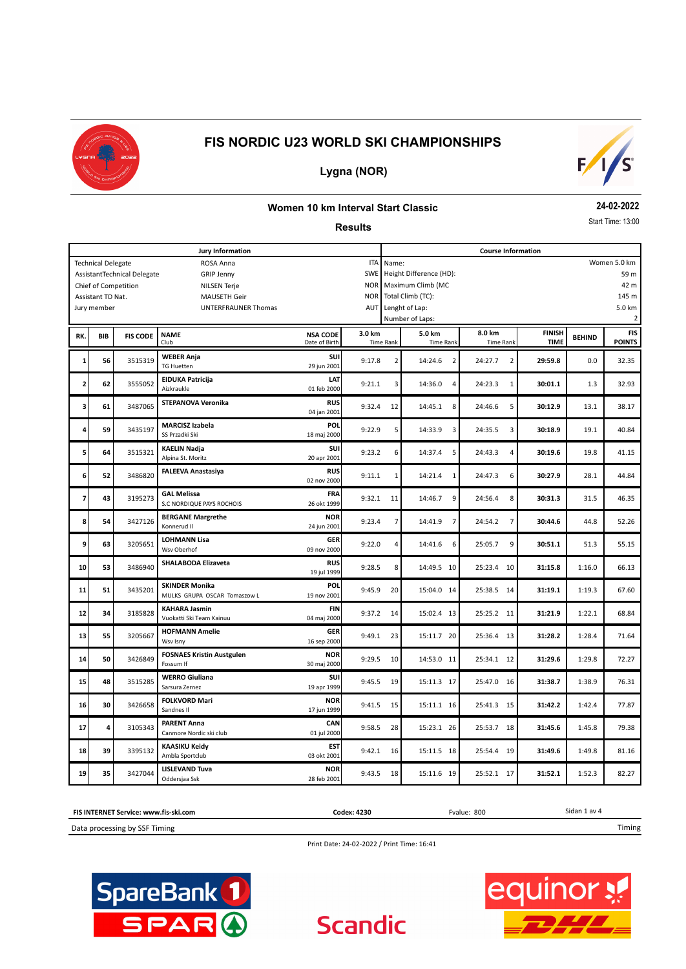



### **Lygna (NOR)**

#### **Women 10 km Interval Start Classic**

**Results**

**24-02-2022**

Start Time: 13:00

|     |                           |                                                            | Jury Information                              |                                  |            | <b>Course Information</b> |                                    |                           |               |               |                |  |
|-----|---------------------------|------------------------------------------------------------|-----------------------------------------------|----------------------------------|------------|---------------------------|------------------------------------|---------------------------|---------------|---------------|----------------|--|
|     | <b>Technical Delegate</b> |                                                            | ROSA Anna                                     | Name:                            |            |                           |                                    |                           | Women 5.0 km  |               |                |  |
|     |                           | AssistantTechnical Delegate                                | <b>GRIP Jenny</b>                             |                                  | SWE        |                           | Height Difference (HD):            |                           |               |               | 59 m           |  |
|     |                           | Chief of Competition                                       | <b>NILSEN Terje</b>                           |                                  | <b>NOR</b> |                           | Maximum Climb (MC                  |                           |               |               | 42 m           |  |
|     | Assistant TD Nat.         |                                                            | <b>MAUSETH Geir</b>                           | <b>NOR</b>                       |            | Total Climb (TC):         |                                    |                           |               | 145 m         |                |  |
|     | Jury member               |                                                            | UNTERFRAUNER Thomas                           |                                  | <b>AUT</b> |                           | Lenght of Lap:                     |                           |               |               | 5.0 km         |  |
|     |                           |                                                            |                                               |                                  |            |                           | Number of Laps:                    |                           |               |               | $\overline{2}$ |  |
|     |                           |                                                            |                                               |                                  |            |                           |                                    | 8.0 km                    | <b>FINISH</b> |               | <b>FIS</b>     |  |
| RK. | BIB                       | <b>FIS CODE</b>                                            | <b>NAME</b><br>Club                           | <b>NSA CODE</b><br>Date of Birth | 3.0 km     | <b>Time Rank</b>          | 5.0 km<br><b>Time Rank</b>         | <b>Time Rank</b>          | <b>TIME</b>   | <b>BEHIND</b> | <b>POINTS</b>  |  |
|     |                           |                                                            |                                               | SUI                              |            |                           |                                    |                           |               |               |                |  |
| 1   | 56                        | 3515319                                                    | <b>WEBER Anja</b><br><b>TG Huetten</b>        | 29 jun 2001                      | 9:17.8     | $\overline{2}$            | 14:24.6<br>$\overline{2}$          | $\overline{2}$<br>24:27.7 | 29:59.8       | 0.0           | 32.35          |  |
|     |                           |                                                            |                                               |                                  |            |                           |                                    |                           |               |               |                |  |
| 2   | 62                        | 3555052                                                    | <b>EIDUKA Patricija</b><br>Aizkraukle         | LAT<br>01 feb 2000               | 9:21.1     | 3                         | 14:36.0<br>4                       | 24:23.3<br>$\mathbf{1}$   | 30:01.1       | 1.3           | 32.93          |  |
|     |                           |                                                            |                                               |                                  |            |                           |                                    |                           |               |               |                |  |
| 3   | 61                        | STEPANOVA Veronika<br><b>RUS</b><br>3487065<br>04 jan 2001 |                                               | 9:32.4                           | 12         | 14:45.1<br>8              | 5<br>24:46.6                       | 30:12.9                   | 13.1          | 38.17         |                |  |
|     |                           |                                                            |                                               |                                  |            |                           |                                    |                           |               |               |                |  |
| 4   | 59                        | 3435197                                                    | <b>MARCISZ Izabela</b>                        | POL                              | 9:22.9     | 5                         | 14:33.9<br>$\overline{\mathbf{3}}$ | 24:35.5<br>3              | 30:18.9       | 19.1          | 40.84          |  |
|     |                           |                                                            | SS Przadki Ski                                | 18 maj 2000                      |            |                           |                                    |                           |               |               |                |  |
| 5   | 64                        | 3515321                                                    | <b>KAELIN Nadja</b>                           | SUI                              | 9:23.2     | 6                         | 5<br>14:37.4                       | 24:43.3<br>$\overline{4}$ | 30:19.6       | 19.8          | 41.15          |  |
|     |                           |                                                            | Alpina St. Moritz                             | 20 apr 2001                      |            |                           |                                    |                           |               |               |                |  |
| 6   | 3486820<br>52             |                                                            | <b>FALEEVA Anastasiya</b>                     | <b>RUS</b>                       | 9:11.1     | 1                         | 14:21.4<br>1                       | 24:47.3<br>6              | 30:27.9       | 28.1          | 44.84          |  |
|     |                           |                                                            |                                               | 02 nov 2000                      |            |                           |                                    |                           |               |               |                |  |
| 7   | 43                        | 3195273                                                    | <b>GAL Melissa</b>                            | FRA                              | 9:32.1     | 11                        | 9<br>14:46.7                       | 8<br>24:56.4              | 30:31.3       | 31.5          | 46.35          |  |
|     |                           |                                                            | S.C NORDIQUE PAYS ROCHOIS                     | 26 okt 1999                      |            |                           |                                    |                           |               |               |                |  |
| 8   | 54                        | 3427126                                                    | <b>BERGANE Margrethe</b>                      | <b>NOR</b>                       | 9:23.4     | $\overline{7}$            | 14:41.9<br>$\overline{7}$          | 24:54.2<br>$\overline{7}$ | 30:44.6       | 44.8          | 52.26          |  |
|     |                           |                                                            | Konnerud II                                   | 24 jun 2001                      |            |                           |                                    |                           |               |               |                |  |
| 9   |                           |                                                            | <b>LOHMANN Lisa</b>                           | <b>GER</b>                       |            |                           |                                    | 9                         |               |               |                |  |
|     | 63                        | 3205651                                                    | Wsv Oberhof                                   | 09 nov 2000                      | 9:22.0     | 4                         | 14:41.6<br>6                       | 25:05.7                   | 30:51.1       | 51.3          | 55.15          |  |
|     |                           |                                                            | SHALABODA Elizaveta                           | <b>RUS</b>                       |            |                           |                                    |                           |               |               |                |  |
| 10  | 53                        | 3486940                                                    |                                               | 19 jul 1999                      | 9:28.5     | 8                         | 14:49.5 10                         | 25:23.4<br>10             | 31:15.8       | 1:16.0        | 66.13          |  |
|     |                           |                                                            | <b>SKINDER Monika</b>                         | POL                              |            |                           |                                    |                           |               |               |                |  |
| 11  | 51                        | 3435201                                                    | MULKS GRUPA OSCAR Tomaszow L                  | 19 nov 2001                      | 9:45.9     | 20                        | 15:04.0 14                         | 25:38.5<br>- 14           | 31:19.1       | 1:19.3        | 67.60          |  |
|     |                           |                                                            | <b>KAHARA Jasmin</b>                          | <b>FIN</b>                       |            |                           |                                    |                           |               |               |                |  |
| 12  | 34                        | 3185828                                                    | Vuokatti Ski Team Kainuu                      | 04 maj 2000                      | 9:37.2     | 14                        | 15:02.4 13                         | 25:25.2 11                | 31:21.9       | 1:22.1        | 68.84          |  |
|     |                           |                                                            | <b>HOFMANN Amelie</b>                         | <b>GER</b>                       |            |                           |                                    |                           |               |               |                |  |
| 13  | 55                        | 3205667                                                    | Wsv Isny                                      | 16 sep 2000                      | 9:49.1     | 23                        | 15:11.7 20                         | 25:36.4<br>13             | 31:28.2       | 1:28.4        | 71.64          |  |
|     |                           |                                                            | <b>FOSNAES Kristin Austgulen</b>              | <b>NOR</b>                       |            |                           |                                    |                           |               |               |                |  |
| 14  | 50                        | 3426849                                                    | Fossum If                                     | 30 maj 2000                      | 9:29.5     | 10                        | 14:53.0 11                         | 25:34.1<br>12             | 31:29.6       | 1:29.8        | 72.27          |  |
|     |                           |                                                            | <b>WERRO Giuliana</b>                         | <b>SUI</b>                       |            |                           |                                    |                           |               |               |                |  |
| 15  | 48                        | 3515285                                                    | Sarsura Zernez                                | 19 apr 1999                      | 9:45.5     | 19                        | 15:11.3 17                         | 25:47.0<br>16             | 31:38.7       | 1:38.9        | 76.31          |  |
|     |                           |                                                            |                                               |                                  |            |                           |                                    |                           |               |               |                |  |
| 16  | 30                        | 3426658                                                    | <b>FOLKVORD Mari</b><br>Sandnes II            | <b>NOR</b><br>17 jun 1999        | 9:41.5     | 15                        | 15:11.1 16                         | 25:41.3<br>- 15           | 31:42.2       | 1:42.4        | 77.87          |  |
|     |                           |                                                            |                                               |                                  |            |                           |                                    |                           |               |               |                |  |
| 17  | 4                         | 3105343                                                    | <b>PARENT Anna</b><br>Canmore Nordic ski club | CAN<br>01 jul 2000               | 9:58.5     | 28                        | 15:23.1 26                         | 18<br>25:53.7             | 31:45.6       | 1:45.8        | 79.38          |  |
|     |                           |                                                            |                                               |                                  |            |                           |                                    |                           |               |               |                |  |
| 18  | 39                        | 3395132                                                    | <b>KAASIKU Keidy</b>                          | <b>EST</b>                       | 9:42.1     | 16                        | 15:11.5 18                         | 25:54.4<br>19             | 31:49.6       | 1:49.8        | 81.16          |  |
|     |                           |                                                            | Ambla Sportclub                               | 03 okt 2001                      |            |                           |                                    |                           |               |               |                |  |
| 19  | 35                        | 3427044                                                    | <b>LISLEVAND Tuva</b>                         | <b>NOR</b>                       | 9:43.5     | 18                        | 15:11.6 19                         | 25:52.1 17                | 31:52.1       | 1:52.3        | 82.27          |  |
|     |                           |                                                            | Oddersjaa Ssk                                 | 28 feb 2001                      |            |                           |                                    |                           |               |               |                |  |



Print Date: 24-02-2022 / Print Time: 16:41

**Scandic** 



equinor !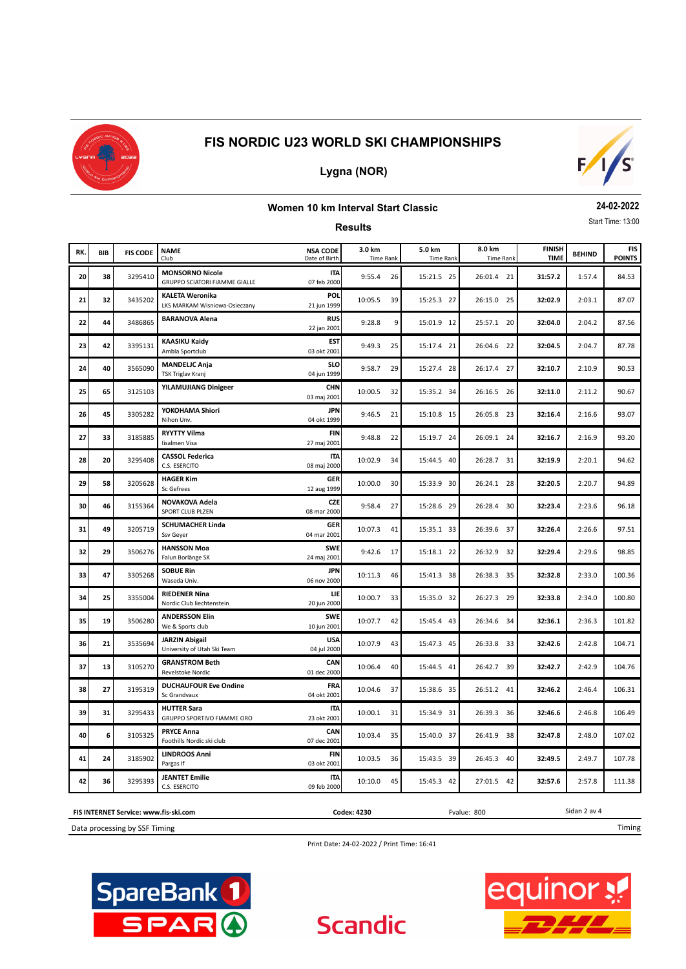

## **Lygna (NOR)**



#### **Women 10 km Interval Start Classic**

**24-02-2022**

|     | Start Time: 13:00<br><b>Results</b> |                 |                                                                |                                  |                            |                            |                            |                              |               |                      |  |  |  |
|-----|-------------------------------------|-----------------|----------------------------------------------------------------|----------------------------------|----------------------------|----------------------------|----------------------------|------------------------------|---------------|----------------------|--|--|--|
| RK. | <b>BIB</b>                          | <b>FIS CODE</b> | <b>NAME</b><br>Club                                            | <b>NSA CODE</b><br>Date of Birth | 3.0 km<br><b>Time Rank</b> | 5.0 km<br><b>Time Rank</b> | 8.0 km<br><b>Time Rank</b> | <b>FINISH</b><br><b>TIME</b> | <b>BEHIND</b> | FIS<br><b>POINTS</b> |  |  |  |
| 20  | 38                                  | 3295410         | <b>MONSORNO Nicole</b><br><b>GRUPPO SCIATORI FIAMME GIALLE</b> | <b>ITA</b><br>07 feb 2000        | 9:55.4<br>26               | 15:21.5 25                 | 26:01.4 21                 | 31:57.2                      | 1:57.4        | 84.53                |  |  |  |
| 21  | 32                                  | 3435202         | <b>KALETA Weronika</b><br>LKS MARKAM Wisniowa-Osieczany        | <b>POL</b><br>21 jun 1999        | 39<br>10:05.5              | 15:25.3 27                 | 26:15.0 25                 | 32:02.9                      | 2:03.1        | 87.07                |  |  |  |
| 22  | 44                                  | 3486865         | <b>BARANOVA Alena</b>                                          | <b>RUS</b><br>22 jan 2001        | 9:28.8<br>9                | 15:01.9 12                 | 25:57.1 20                 | 32:04.0                      | 2:04.2        | 87.56                |  |  |  |
| 23  | 42                                  | 3395131         | <b>KAASIKU Kaidy</b><br>Ambla Sportclub                        | <b>EST</b><br>03 okt 2001        | 9:49.3<br>25               | 15:17.4 21                 | 26:04.6 22                 | 32:04.5                      | 2:04.7        | 87.78                |  |  |  |
| 24  | 40                                  | 3565090         | <b>MANDELJC Anja</b><br><b>TSK Triglav Kranj</b>               | <b>SLO</b><br>04 jun 1999        | 9:58.7<br>29               | 15:27.4 28                 | 26:17.4 27                 | 32:10.7                      | 2:10.9        | 90.53                |  |  |  |
| 25  | 65                                  | 3125103         | <b>YILAMUJIANG Dinigeer</b>                                    | <b>CHN</b><br>03 maj 2001        | 10:00.5<br>32              | 15:35.2 34                 | 26:16.5 26                 | 32:11.0                      | 2:11.2        | 90.67                |  |  |  |
| 26  | 45                                  | 3305282         | YOKOHAMA Shiori<br>Nihon Unv.                                  | <b>JPN</b><br>04 okt 1999        | 9:46.5<br>21               | 15:10.8 15                 | 26:05.8 23                 | 32:16.4                      | 2:16.6        | 93.07                |  |  |  |
| 27  | 33                                  | 3185885         | <b>RYYTTY Vilma</b><br>Iisalmen Visa                           | FIN<br>27 maj 2001               | 9:48.8<br>22               | 15:19.7 24                 | 26:09.1 24                 | 32:16.7                      | 2:16.9        | 93.20                |  |  |  |
| 28  | 20                                  | 3295408         | <b>CASSOL Federica</b><br>C.S. ESERCITO                        | <b>ITA</b><br>08 maj 2000        | 10:02.9<br>34              | 15:44.5 40                 | 26:28.7 31                 | 32:19.9                      | 2:20.1        | 94.62                |  |  |  |
| 29  | 58                                  | 3205628         | <b>HAGER Kim</b><br>Sc Gefrees                                 | <b>GER</b><br>12 aug 1999        | 10:00.0<br>30              | 15:33.9 30                 | 26:24.1 28                 | 32:20.5                      | 2:20.7        | 94.89                |  |  |  |
| 30  | 46                                  | 3155364         | NOVAKOVA Adela<br>SPORT CLUB PLZEN                             | <b>CZE</b><br>08 mar 2000        | 27<br>9:58.4               | 15:28.6 29                 | 26:28.4 30                 | 32:23.4                      | 2:23.6        | 96.18                |  |  |  |
| 31  | 49                                  | 3205719         | <b>SCHUMACHER Linda</b><br>Ssv Geyer                           | <b>GER</b><br>04 mar 2001        | 10:07.3<br>41              | 15:35.1 33                 | 26:39.6 37                 | 32:26.4                      | 2:26.6        | 97.51                |  |  |  |
| 32  | 29                                  | 3506276         | <b>HANSSON Moa</b><br>Falun Borlänge SK                        | <b>SWE</b><br>24 maj 2001        | 9:42.6<br>17               | 15:18.1 22                 | 26:32.9 32                 | 32:29.4                      | 2:29.6        | 98.85                |  |  |  |
| 33  | 47                                  | 3305268         | <b>SOBUE Rin</b><br>Waseda Univ.                               | <b>JPN</b><br>06 nov 2000        | 10:11.3<br>46              | 15:41.3 38                 | 26:38.3 35                 | 32:32.8                      | 2:33.0        | 100.36               |  |  |  |
| 34  | 25                                  | 3355004         | <b>RIEDENER Nina</b><br>Nordic Club liechtenstein              | LIE<br>20 jun 2000               | 10:00.7<br>33              | 15:35.0 32                 | 26:27.3 29                 | 32:33.8                      | 2:34.0        | 100.80               |  |  |  |
| 35  | 19                                  | 3506280         | <b>ANDERSSON Elin</b><br>We & Sports club                      | <b>SWE</b><br>10 jun 2001        | 10:07.7<br>42              | 15:45.4 43                 | 26:34.6 34                 | 32:36.1                      | 2:36.3        | 101.82               |  |  |  |
| 36  | 21                                  | 3535694         | <b>JARZIN Abigail</b><br>University of Utah Ski Team           | <b>USA</b><br>04 jul 2000        | 10:07.9<br>43              | 15:47.3 45                 | 26:33.8 33                 | 32:42.6                      | 2:42.8        | 104.71               |  |  |  |
| 37  | 13                                  | 3105270         | <b>GRANSTROM Beth</b><br>Revelstoke Nordic                     | <b>CAN</b><br>01 dec 2000        | 10:06.4<br>40              | 15:44.5 41                 | 26:42.7 39                 | 32:42.7                      | 2:42.9        | 104.76               |  |  |  |
| 38  | 27                                  | 3195319         | <b>DUCHAUFOUR Eve Ondine</b><br>Sc Grandvaux                   | FRA<br>04 okt 2001               | 10:04.6<br>37              | 15:38.6 35                 | 26:51.2 41                 | 32:46.2                      | 2:46.4        | 106.31               |  |  |  |
| 39  | 31                                  | 3295433         | <b>HUTTER Sara</b><br>GRUPPO SPORTIVO FIAMME ORO               | <b>ITA</b><br>23 okt 2001        | 10:00.1<br>31              | 15:34.9 31                 | 26:39.3 36                 | 32:46.6                      | 2:46.8        | 106.49               |  |  |  |
| 40  | 6                                   | 3105325         | <b>PRYCE Anna</b><br>Foothills Nordic ski club                 | CAN<br>07 dec 2001               | 10:03.4<br>35              | 15:40.0 37                 | 26:41.9 38                 | 32:47.8                      | 2:48.0        | 107.02               |  |  |  |
| 41  | 24                                  | 3185902         | <b>LINDROOS Anni</b><br>Pargas If                              | <b>FIN</b><br>03 okt 2001        | 10:03.5<br>36              | 15:43.5 39                 | 26:45.3 40                 | 32:49.5                      | 2:49.7        | 107.78               |  |  |  |

**FIS INTERNET Service: www.fis-ski.com Codex: 4230** Fvalue: 800

C.S. ESERCITO 09 feb 2000

Data processing by SSF Timing

Print Date: 24-02-2022 / Print Time: 16:41

**Scandic** 

**42 36 3295393 JEANTET Emilie 10:10.0 45 111.38 10:10.0 45 111.38 111.38 111.38** 





Sidan 2 av 4

Timing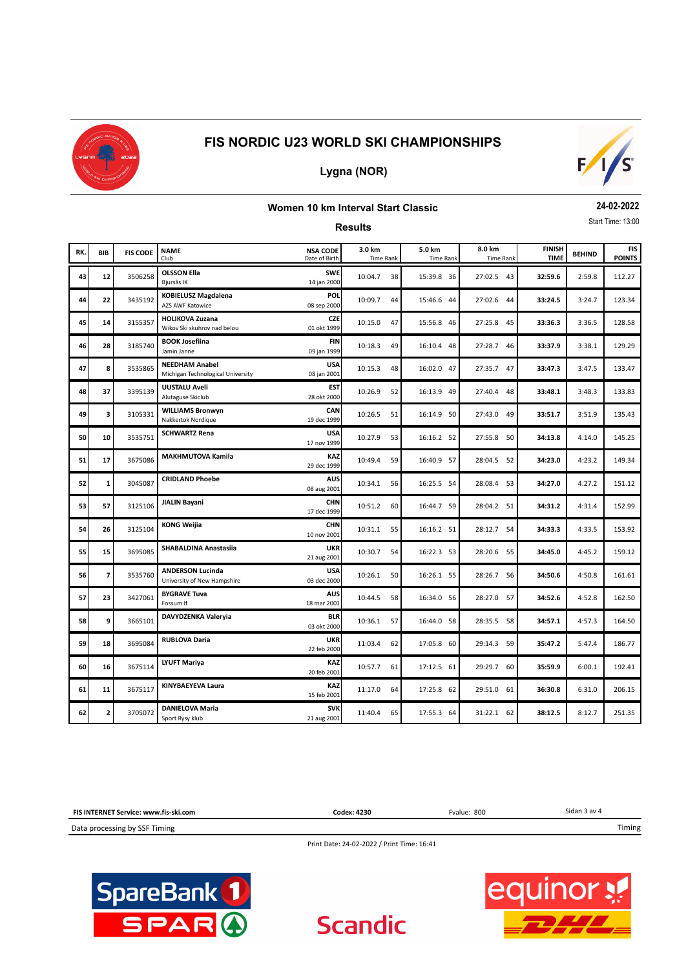

#### **Lygna (NOR)**



#### **Women 10 km Interval Start Classic**

**Results**

**24-02-2022** Start Time: 13:00

**BEHIND BEHIND BEHIND BEHIND BEHIND ENGER ISLAND FINISH BEHIND TIME FIS POINTS RK.** Club **Club** Date of Birth Time Rank **BIB 3.0 km 5.0 km 8.0 km** Date of Birth Time Rank Time Rank Time Rank Time Rank **FIS CODE NAME NSA CODE**<br>Club **Club Date of Birth 43 12** 3506258 **OLSSON Ella CLSSON Ella CLSSON CLUB 10:04.7 38 12:59.8 36 27:02.5 43 32:59.6 2:59.8 112.27** Bjursås IK 14 jan 2000 3:24.7 **KOBIELUSZ Magdalena 44** <sup>3435192</sup> 10:09.7 44 **33:24.5** 123.34 **POL <sup>22</sup>** 15:46.6 44 27:02.6 44 AZS AWF Katowice 08 sep 2000 3:36.5 **HOLIKOVA Zuzana 45** <sup>3155357</sup> 10:15.0 47 **33:36.3** 128.58 **CZE <sup>14</sup>** 15:56.8 46 27:25.8 45 Wikov Ski skuhrov nad belou 01 okt 1999 3:38.1 **BOOK Josefiina 46** <sup>3185740</sup> 10:18.3 49 **33:37.9** 129.29 **FIN <sup>28</sup>** 16:10.4 48 27:28.7 46 Jamin Janne 09 jan 199 **47. 8.535865 NEEDHAM Anabel 47.5 <b>NEEDHAM Anabel 47.3 33:47.3** 133.47 **USA 8** 16:02.0 47 **16:02.0 47** 27:35.7 47 **33:47.3** 3:47.5 133.47 Michigan Technological University 08 jan 2001 3:48.3 **UUSTALU Aveli 48** <sup>3395139</sup> 10:26.9 52 **33:48.1** 133.83 **EST <sup>37</sup>** 16:13.9 49 27:40.4 48 Alutaguse Skiclub 28 okt 2000 **49 3** 3105331 WILLIAMS Bronwyn **10:26.5** 51 **16:14.9** 50 27:43.0 49 **33:51.7** 3:51.9 135.43 Nakkertok Nordique 19 dec 1999 4:14.0 **SCHWARTZ Rena 50** <sup>3535751</sup> 10:27.9 53 **34:13.8** 145.25 **USA <sup>10</sup>** 16:16.2 52 27:55.8 50 17 nov 199 4:23.2 **MAKHMUTOVA Kamila 51** <sup>3675086</sup> 10:49.4 59 **34:23.0** 149.34 **KAZ <sup>17</sup>** 16:40.9 57 28:04.5 52 29 dec 199 **52** 1 3045087 **CRIDLAND Phoebe** 52 305 34:27.2 **AUSE 10:34.1 56** 16:25.5 54 28:08.4 53 34:27.0 4:27.2 151.12 08 aug 2001 4:31.4 **JIALIN Bayani 53** <sup>3125106</sup> 10:51.2 60 **34:31.2** 152.99 **CHN <sup>57</sup>** 16:44.7 59 28:04.2 51 17 dec 199 4:33.5 **KONG Weijia 54** <sup>3125104</sup> 10:31.1 55 **34:33.3** 153.92 **CHN <sup>26</sup>** 16:16.2 51 28:12.7 54 10 nov 2001 4:45.2 **SHABALDINA Anastasiia 55** <sup>3695085</sup> 10:30.7 54 **34:45.0** 159.12 **UKR <sup>15</sup>** 16:22.3 53 28:20.6 55 21 aug 2001 4:50.8 **ANDERSON Lucinda 56** <sup>3535760</sup> 10:26.1 50 **34:50.6** 161.61 **USA 7** 16:26.1 55 28:26.7 56 University of New Hampshire 03 dec 200 4:52.8 **BYGRAVE Tuva 57** <sup>3427061</sup> 10:44.5 58 **34:52.6** 162.50 **AUS <sup>23</sup>** 16:34.0 56 28:27.0 57 Fossum If 18 mar 2001 4:57.3 **DAVYDZENKA Valeryia 58** <sup>3665101</sup> 10:36.1 57 **34:57.1** 164.50 **BLR 9** 16:44.0 58 28:35.5 58 03 okt 2000 5:47.4 **RUBLOVA Daria 59** <sup>3695084</sup> 11:03.4 62 **35:47.2** 186.77 **UKR <sup>18</sup>** 17:05.8 60 29:14.3 59 22 feb 200 6:00.1 **LYUFT Mariya 60** <sup>3675114</sup> 10:57.7 61 **35:59.9** 192.41 **KAZ <sup>16</sup>** 17:12.5 61 29:29.7 60 20 feb 2001 6:31.0 **KINYBAEYEVA Laura 61** <sup>3675117</sup> 11:17.0 64 **36:30.8** 206.15 **KAZ <sup>11</sup>** 17:25.8 62 29:51.0 61 15 feb 2001 **62 2** 3705072 **DANIELOVA Maria 52.23 <b>251.35 32.24 31:22.1 52.25 38:12.5 38:12.5 38:12.5 38:12.5 38:12.5** Sport Rysy klub 21 aug 2001

```
Sidan 3 av 4
FIS INTERNET Service: www.fis-ski.com
                                                                                                                                  Timing
                                                              Codex: 4230 Fvalue: 800
```
Data processing by SSF Timing

Print Date: 24-02-2022 / Print Time: 16:41

**Scandic**